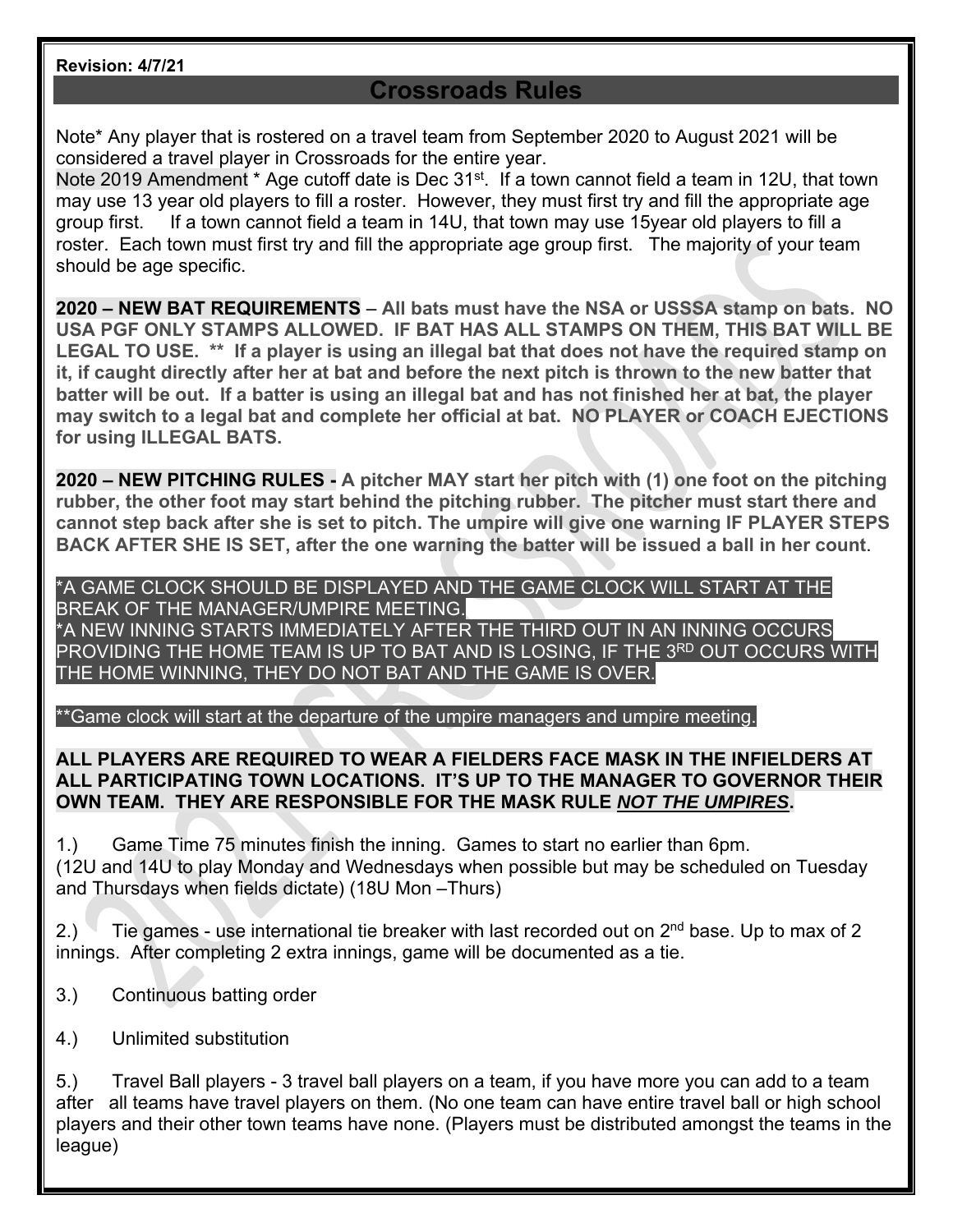#### **Revision: 4/7/21**

# **Crossroads Rules**

Note\* Any player that is rostered on a travel team from September 2020 to August 2021 will be considered a travel player in Crossroads for the entire year.

Note 2019 Amendment \* Age cutoff date is Dec 31<sup>st</sup>. If a town cannot field a team in 12U, that town may use 13 year old players to fill a roster. However, they must first try and fill the appropriate age group first. If a town cannot field a team in 14U, that town may use 15year old players to fill a roster. Each town must first try and fill the appropriate age group first. The majority of your team should be age specific.

**2020 – NEW BAT REQUIREMENTS** – **All bats must have the NSA or USSSA stamp on bats. NO USA PGF ONLY STAMPS ALLOWED. IF BAT HAS ALL STAMPS ON THEM, THIS BAT WILL BE LEGAL TO USE. \*\* If a player is using an illegal bat that does not have the required stamp on it, if caught directly after her at bat and before the next pitch is thrown to the new batter that batter will be out. If a batter is using an illegal bat and has not finished her at bat, the player may switch to a legal bat and complete her official at bat. NO PLAYER or COACH EJECTIONS for using ILLEGAL BATS.** 

**2020 – NEW PITCHING RULES - A pitcher MAY start her pitch with (1) one foot on the pitching rubber, the other foot may start behind the pitching rubber. The pitcher must start there and cannot step back after she is set to pitch. The umpire will give one warning IF PLAYER STEPS BACK AFTER SHE IS SET, after the one warning the batter will be issued a ball in her count**.

\*A GAME CLOCK SHOULD BE DISPLAYED AND THE GAME CLOCK WILL START AT THE BREAK OF THE MANAGER/UMPIRE MEETING. \*A NEW INNING STARTS IMMEDIATELY AFTER THE THIRD OUT IN AN INNING OCCURS

PROVIDING THE HOME TEAM IS UP TO BAT AND IS LOSING, IF THE 3RD OUT OCCURS WITH THE HOME WINNING, THEY DO NOT BAT AND THE GAME IS OVER.

\*\*Game clock will start at the departure of the umpire managers and umpire meeting.

### **ALL PLAYERS ARE REQUIRED TO WEAR A FIELDERS FACE MASK IN THE INFIELDERS AT ALL PARTICIPATING TOWN LOCATIONS. IT'S UP TO THE MANAGER TO GOVERNOR THEIR OWN TEAM. THEY ARE RESPONSIBLE FOR THE MASK RULE** *NOT THE UMPIRES***.**

1.) Game Time 75 minutes finish the inning. Games to start no earlier than 6pm. (12U and 14U to play Monday and Wednesdays when possible but may be scheduled on Tuesday and Thursdays when fields dictate) (18U Mon –Thurs)

2.) Tie games - use international tie breaker with last recorded out on  $2^{nd}$  base. Up to max of 2 innings. After completing 2 extra innings, game will be documented as a tie.

- 3.) Continuous batting order
- 4.) Unlimited substitution

5.) Travel Ball players - 3 travel ball players on a team, if you have more you can add to a team after all teams have travel players on them. (No one team can have entire travel ball or high school players and their other town teams have none. (Players must be distributed amongst the teams in the league)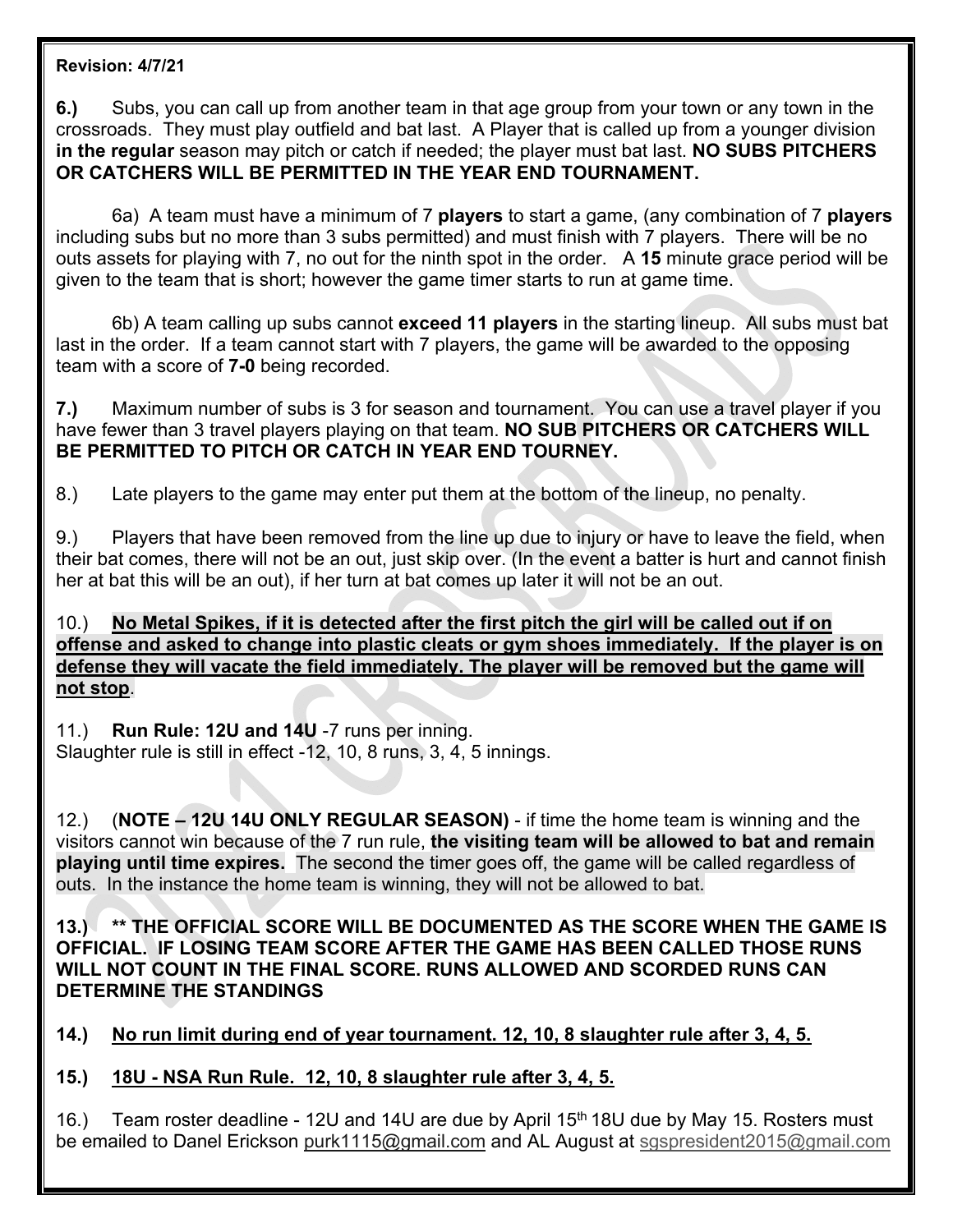### **Revision: 4/7/21**

**6.)** Subs, you can call up from another team in that age group from your town or any town in the crossroads. They must play outfield and bat last. A Player that is called up from a younger division **in the regular** season may pitch or catch if needed; the player must bat last. **NO SUBS PITCHERS OR CATCHERS WILL BE PERMITTED IN THE YEAR END TOURNAMENT.** 

6a) A team must have a minimum of 7 **players** to start a game, (any combination of 7 **players** including subs but no more than 3 subs permitted) and must finish with 7 players. There will be no outs assets for playing with 7, no out for the ninth spot in the order. A **15** minute grace period will be given to the team that is short; however the game timer starts to run at game time.

6b) A team calling up subs cannot **exceed 11 players** in the starting lineup. All subs must bat last in the order. If a team cannot start with 7 players, the game will be awarded to the opposing team with a score of **7-0** being recorded.

**7.)** Maximum number of subs is 3 for season and tournament. You can use a travel player if you have fewer than 3 travel players playing on that team. **NO SUB PITCHERS OR CATCHERS WILL BE PERMITTED TO PITCH OR CATCH IN YEAR END TOURNEY.** 

8.) Late players to the game may enter put them at the bottom of the lineup, no penalty.

9.) Players that have been removed from the line up due to injury or have to leave the field, when their bat comes, there will not be an out, just skip over. (In the event a batter is hurt and cannot finish her at bat this will be an out), if her turn at bat comes up later it will not be an out.

10.) **No Metal Spikes, if it is detected after the first pitch the girl will be called out if on offense and asked to change into plastic cleats or gym shoes immediately. If the player is on defense they will vacate the field immediately. The player will be removed but the game will not stop**.

11.) **Run Rule: 12U and 14U** -7 runs per inning. Slaughter rule is still in effect -12, 10, 8 runs, 3, 4, 5 innings.

12.) (**NOTE – 12U 14U ONLY REGULAR SEASON)** - if time the home team is winning and the visitors cannot win because of the 7 run rule, **the visiting team will be allowed to bat and remain playing until time expires.** The second the timer goes off, the game will be called regardless of outs. In the instance the home team is winning, they will not be allowed to bat.

**13.) \*\* THE OFFICIAL SCORE WILL BE DOCUMENTED AS THE SCORE WHEN THE GAME IS OFFICIAL. IF LOSING TEAM SCORE AFTER THE GAME HAS BEEN CALLED THOSE RUNS WILL NOT COUNT IN THE FINAL SCORE. RUNS ALLOWED AND SCORDED RUNS CAN DETERMINE THE STANDINGS** 

**14.) No run limit during end of year tournament. 12, 10, 8 slaughter rule after 3, 4, 5.** 

**15.) 18U - NSA Run Rule. 12, 10, 8 slaughter rule after 3, 4, 5.** 

16.) Team roster deadline - 12U and 14U are due by April 15<sup>th</sup> 18U due by May 15. Rosters must be emailed to Danel Erickson purk1115@gmail.com and AL August at sgspresident2015@gmail.com